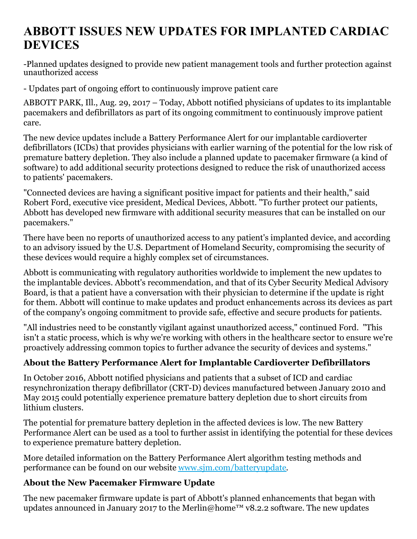## **ABBOTT ISSUES NEW UPDATES FOR IMPLANTED CARDIAC DEVICES**

-Planned updates designed to provide new patient management tools and further protection against unauthorized access

- Updates part of ongoing effort to continuously improve patient care

ABBOTT PARK, Ill., Aug. 29, 2017 – Today, Abbott notified physicians of updates to its implantable pacemakers and defibrillators as part of its ongoing commitment to continuously improve patient care.

The new device updates include a Battery Performance Alert for our implantable cardioverter defibrillators (ICDs) that provides physicians with earlier warning of the potential for the low risk of premature battery depletion. They also include a planned update to pacemaker firmware (a kind of software) to add additional security protections designed to reduce the risk of unauthorized access to patients' pacemakers.

"Connected devices are having a significant positive impact for patients and their health," said Robert Ford, executive vice president, Medical Devices, Abbott. "To further protect our patients, Abbott has developed new firmware with additional security measures that can be installed on our pacemakers."

There have been no reports of unauthorized access to any patient's implanted device, and according to an advisory issued by the U.S. Department of Homeland Security, compromising the security of these devices would require a highly complex set of circumstances.

Abbott is communicating with regulatory authorities worldwide to implement the new updates to the implantable devices. Abbott's recommendation, and that of its Cyber Security Medical Advisory Board, is that a patient have a conversation with their physician to determine if the update is right for them. Abbott will continue to make updates and product enhancements across its devices as part of the company's ongoing commitment to provide safe, effective and secure products for patients.

"All industries need to be constantly vigilant against unauthorized access," continued Ford. "This isn't a static process, which is why we're working with others in the healthcare sector to ensure we're proactively addressing common topics to further advance the security of devices and systems."

## **About the Battery Performance Alert for Implantable Cardioverter Defibrillators**

In October 2016, Abbott notified physicians and patients that a subset of ICD and cardiac resynchronization therapy defibrillator (CRT-D) devices manufactured between January 2010 and May 2015 could potentially experience premature battery depletion due to short circuits from lithium clusters.

The potential for premature battery depletion in the affected devices is low. The new Battery Performance Alert can be used as a tool to further assist in identifying the potential for these devices to experience premature battery depletion.

More detailed information on the Battery Performance Alert algorithm testing methods and performance can be found on our website [www.sjm.com/batteryupdate](http://www.sjm.com/batteryupdate).

## **About the New Pacemaker Firmware Update**

The new pacemaker firmware update is part of Abbott's planned enhancements that began with updates announced in January 2017 to the Merlin@home™ v8.2.2 software. The new updates